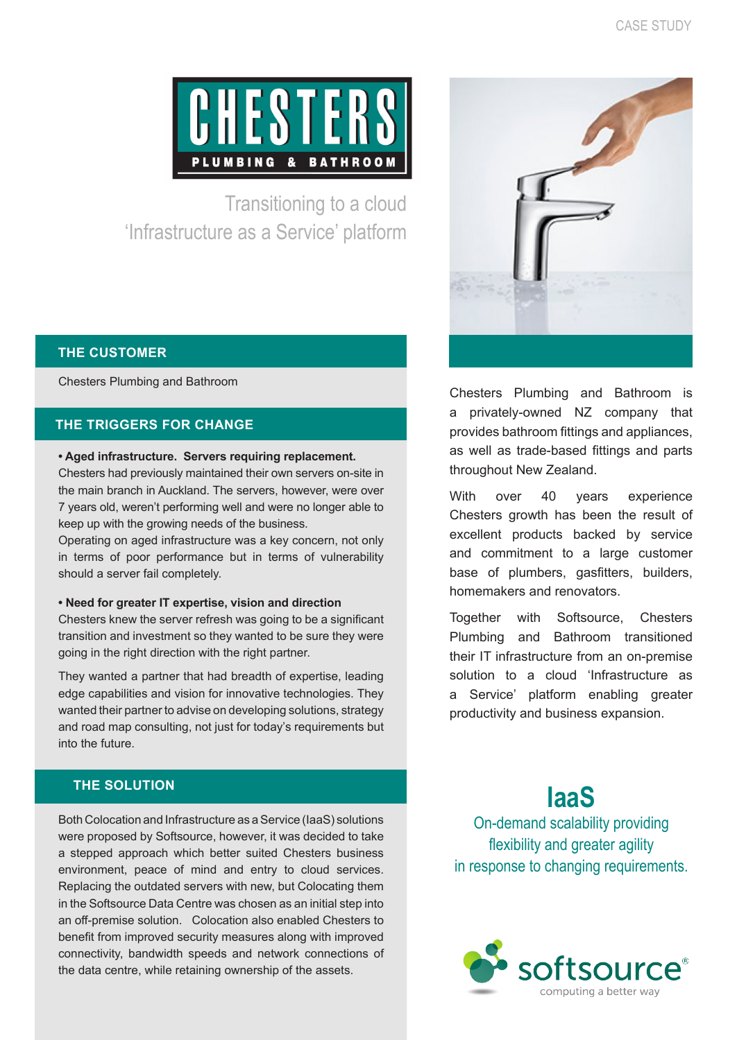

Transitioning to a cloud 'Infrastructure as a Service' platform

## **THE CUSTOMER**

Chesters Plumbing and Bathroom

## **THE TRIGGERS FOR CHANGE**

#### **• Aged infrastructure. Servers requiring replacement.**

Chesters had previously maintained their own servers on-site in the main branch in Auckland. The servers, however, were over 7 years old, weren't performing well and were no longer able to keep up with the growing needs of the business.

Operating on aged infrastructure was a key concern, not only in terms of poor performance but in terms of vulnerability should a server fail completely.

#### **• Need for greater IT expertise, vision and direction**

Chesters knew the server refresh was going to be a significant transition and investment so they wanted to be sure they were going in the right direction with the right partner.

They wanted a partner that had breadth of expertise, leading edge capabilities and vision for innovative technologies. They wanted their partner to advise on developing solutions, strategy and road map consulting, not just for today's requirements but into the future.

# **THE SOLUTION**

Both Colocation and Infrastructure as a Service (IaaS) solutions were proposed by Softsource, however, it was decided to take a stepped approach which better suited Chesters business environment, peace of mind and entry to cloud services. Replacing the outdated servers with new, but Colocating them in the Softsource Data Centre was chosen as an initial step into an off-premise solution. Colocation also enabled Chesters to benefit from improved security measures along with improved connectivity, bandwidth speeds and network connections of the data centre, while retaining ownership of the assets.



Chesters Plumbing and Bathroom is a privately-owned NZ company that provides bathroom fittings and appliances, as well as trade-based fittings and parts throughout New Zealand.

With over 40 years experience Chesters growth has been the result of excellent products backed by service and commitment to a large customer base of plumbers, gasfitters, builders, homemakers and renovators.

Together with Softsource, Chesters Plumbing and Bathroom transitioned their IT infrastructure from an on-premise solution to a cloud 'Infrastructure as a Service' platform enabling greater productivity and business expansion.

# **IaaS**

On-demand scalability providing flexibility and greater agility in response to changing requirements.